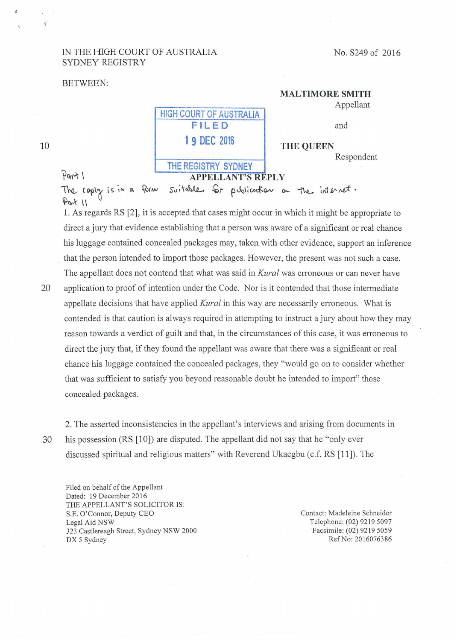### IN THE HIGH COURT OF AUSTRALIA SYDNEY REGISTRY

### No. S249 of 2016

### BETWEEN:

# **HIGH COURT OF AUSTRALIA MALTIMORE SMITH**  Appellant and **THE QUEEN**  Respondent

# 10

**THE REGISTRY SYDNEY**  Part I **APPELLANT'S REPLY** The coply is in a form  $A^{\omega+1}$ suitable for publication a the internet.

**FILED** 

**1 9 DEC 2016** 

1. As regards RS [2], it is accepted that cases might occur in which it might be appropriate to direct a jury that evidence establishing that a person was aware of a significant or real chance his luggage contained concealed packages may, taken with other evidence, support an inference . that the person intended to import those packages. However, the present was not such a case.

The appellant does not contend that what was said in *Kural* was erroneous or can never have 20 application to proof of intention under the Code. Nor is it contended that those intermediate appellate decisions that have applied *Kural* in this way are necessarily erroneous. What is contended is that caution is always required in attempting to instruct a jury about how they may reason towards a verdict of guilt and that, in the circumstances of this case, it was erroneous to direct the jury that, if they found the appellant was aware that there was a significant or real chance his luggage contained the concealed packages, they "would go on to consider whether that was sufficient to satisfy you beyond reasonable doubt he intended to import" those concealed packages.

2. The asserted inconsistencies in the appellant's interviews and arising from documents in 30 his possession (RS [10]) are disputed. The appellant did not say that he "only ever discussed spiritual and religious matters" with Reverend Ukaegbu (c.f. RS [11]). The

Filed on behalf of the Appellant Dated: 19 December 2016 THE APPELLANT'S SOLICITOR IS: S.E. O'Connor, Deputy CEO Legal Aid NSW 323 Castlereagh Street, Sydney NSW 2000 DX 5 Sydney

Contact: Madeleine Schneider Telephone: (02) 9219 5097 Facsimile: (02) 9219 5059 RefNo: 2016076386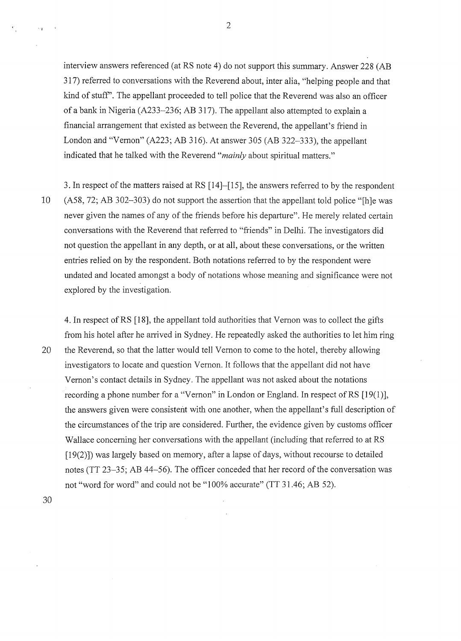interview answers referenced (at RS note 4) do not support this summary. Answer 228 (AB 317) referred to conversations with the Reverend about, inter alia, "helping people and that kind of stuff'. The appellant proceeded to tell police that the Reverend was also an officer of a bank in Nigeria (A233-236; AB 317). The appellant also attempted to explain a financial arrangement that existed as between the Reverend, the appellant's friend in London and "Vemon" (A223; AB 316). At answer 305 (AB 322-333), the appellant indicated that he talked with the Reverend *"mainly* about spiritual matters."

3. In respect of the matters raised at RS [14]-[15], the answers referred to by the respondent 10 (A58, 72; AB 302-303) do not support the assertion that the appellant told police "[h]e was never given the names of any of the friends before his departure". He merely related certain conversations with the Reverend that referred to "friends" in Delhi. The investigators did not question the appellant in any depth, or at all, about these conversations, or the written entries relied on by the respondent. Both notations referred to by the respondent were undated and located amongst a body of notations whose meaning and significance were not explored by the investigation.

4. In respect ofRS [18], the appellant told authorities that Vemon was to collect the gifts from his hotel after he arrived in Sydney. He repeatedly asked the authorities to let him ring 20 the Reverend, so that the latter would tell Vemon to come to the hotel, thereby allowing investigators to locate and question Vemon. It follows that the appellant did not have Vemon's contact details in Sydney. The appellant was not asked about the notations recording a phone number for a "Vernon" in London or England. In respect of RS  $[19(1)]$ , the answers given were consistent with one another, when the appellant's full description of the circumstances of the trip are considered. Further, the evidence given by customs officer Wallace concerning her conversations with the appellant (including that referred to at RS [19(2)}) was largely based on memory, after a lapse of days, without recourse to detailed notes (TT 23-35; AB 44-56). The officer conceded that her record of the conversation was not "word for word" and could not be "100% accurate" (TT 31.46; AB 52).

30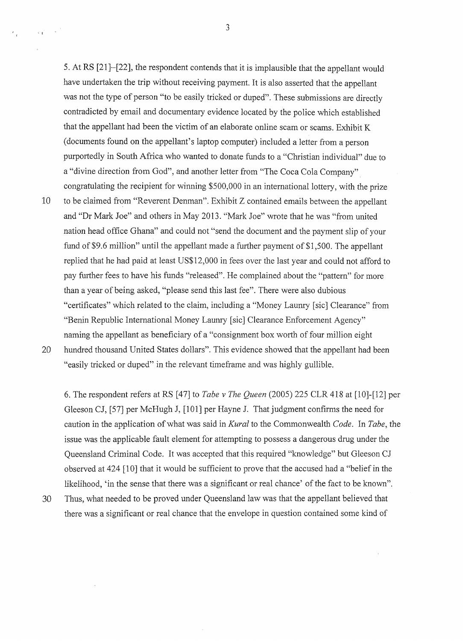5. At RS [21]-[22], the respondent contends that it is implausible that the appellant would have undertaken the trip without receiving payment. It is also asserted that the appellant was not the type of person "to be easily tricked or duped". These submissions are directly contradicted by email and documentary evidence located by the police which established that the appellant had been the victim of an elaborate online seam or seams. Exhibit K (documents found on the appellant's laptop computer) included a letter from a person purportedly in South Africa who wanted to donate funds to a "Christian individual" due to a "divine direction from God", and another letter from "The Coca Cola Company" congratulating the recipient for winning \$500,000 in an international lottery, with the prize 10 to be claimed from "Reverent Denman". Exhibit Z contained emails between the appellant and "Dr Mark Joe" and others in May 2013. "Mark Joe" wrote that he was "from united nation head office Ghana" and could not "send the document and the payment slip of your fund of \$9.6 million" until the appellant made a further payment of \$1,500. The appellant replied that he had paid at least US\$12,000 in fees over the last year and could not afford to pay further fees to have his funds "released". He complained about the "pattern" for more than a year of being asked, "please send this last fee". There were also dubious "certificates" which related to the claim, including a "Money Laumy [sic] Clearance" from "Benin Republic International Money Laumy [sic] Clearance Enforcement Agency" naming the appellant as beneficiary of a "consignment box worth of four million eight 20 hundred thousand United States dollars". This evidence showed that the appellant had been "easily tricked or duped" in the relevant timeframe and was highly gullible.

 $\cdot$   $\cdot$ 

6. The respondent refers at RS [47] to *Tabe v The Queen* (2005) 225 CLR 418 at (10]-(12] per Gleeson CJ, [57] per McHugh J, [101] per Hayne J. That judgment confirms the need for caution in the application of what was said in *Kural* to the Commonwealth *Code.* In *Tabe,* the issue was the applicable fault element for attempting to possess a dangerous drug under the Queensland Criminal Code. It was accepted that this required "knowledge" but Gleeson CJ observed at 424 [10] that it would be sufficient to prove that the accused had a "belief in the likelihood, 'in the sense that there was a significant or real chance' of the fact to be known".

30 Thus, what needed to be proved under Queensland law was that the appellant believed that there was a significant or real chance that the envelope in question contained some kind of

3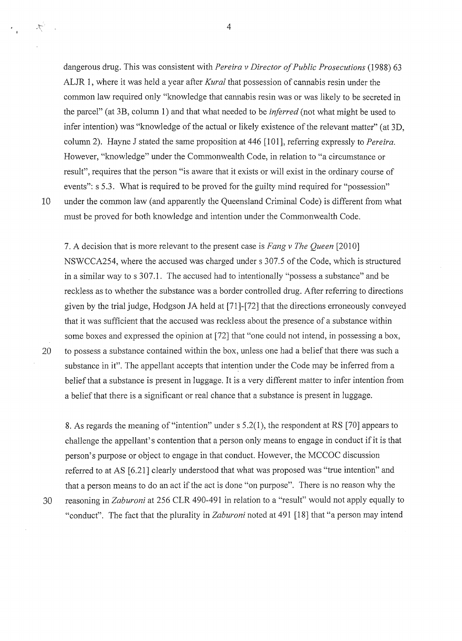dangerous drug. This was consistent with *Pereira v Director of Public Prosecutions* (1988) 63 ALJR 1, where it was held a year after *Kural* that possession of cannabis resin under the common law required only "knowledge that cannabis resin was or was likely to be secreted in the parcel" (at 3B, column 1) and that what needed to be *inferred* (not what might be used to infer intention) was "knowledge of the actual or likely existence of the relevant matter" (at 3D, column 2). Hayne J stated the same proposition at 446 [101], referring expressly to *Pereira*. However, "knowledge" under the Commonwealth Code, in relation to "a circumstance or result", requires that the person "is aware that it exists or will exist in the ordinary course of events": s 5.3. What is required to be proved for the guilty mind required for "possession" 10 under the common law (and apparently the Queensland Criminal Code) is different from what must be proved for both knowledge and intention under the Commonwealth Code.

7. A decision that is more relevant to the present case is *Fang v The Queen* [2010] NSWCCA254, where the accused was charged under s 307.5 of the Code, which is structured in a similar way to s 307.1. The accused had to intentionally "possess a substance" and be reckless as to whether the substance was a border controlled drug. After referring to directions given by the trial judge, Hodgson JA held at (71 ]-[72] that the directions enoneously conveyed that it was sufficient that the accused was reckless about the presence of a substance within some boxes and expressed the opinion at [72] that "one could not intend, in possessing a box, 20 to possess a substance contained within the box, unless one had a belief that there was such a substance in it". The appellant accepts that intention under the Code may be inferred from a belief that a substance is present in luggage. It is a very different matter to infer intention from a belief that there is a significant or real chance that a substance is present in luggage.

8. As regards the meaning of "intention" under s 5 .2(1 ), the respondent at RS [70] appears to challenge the appellant's contention that a person only means to engage in conduct if it is that person's purpose or object to engage in that conduct. However, the MCCOC discussion referred to at AS [6.21] clearly understood that what was proposed was "true intention" and that a person means to do an act if the act is done "on purpose". There is no reason why the 30 reasoning in *Zaburoni* at 256 CLR 490-491 in relation to a "result" would not apply equally to "conduct". The fact that the plurality in *Zaburoni* noted at 491 [18] that "a person may intend